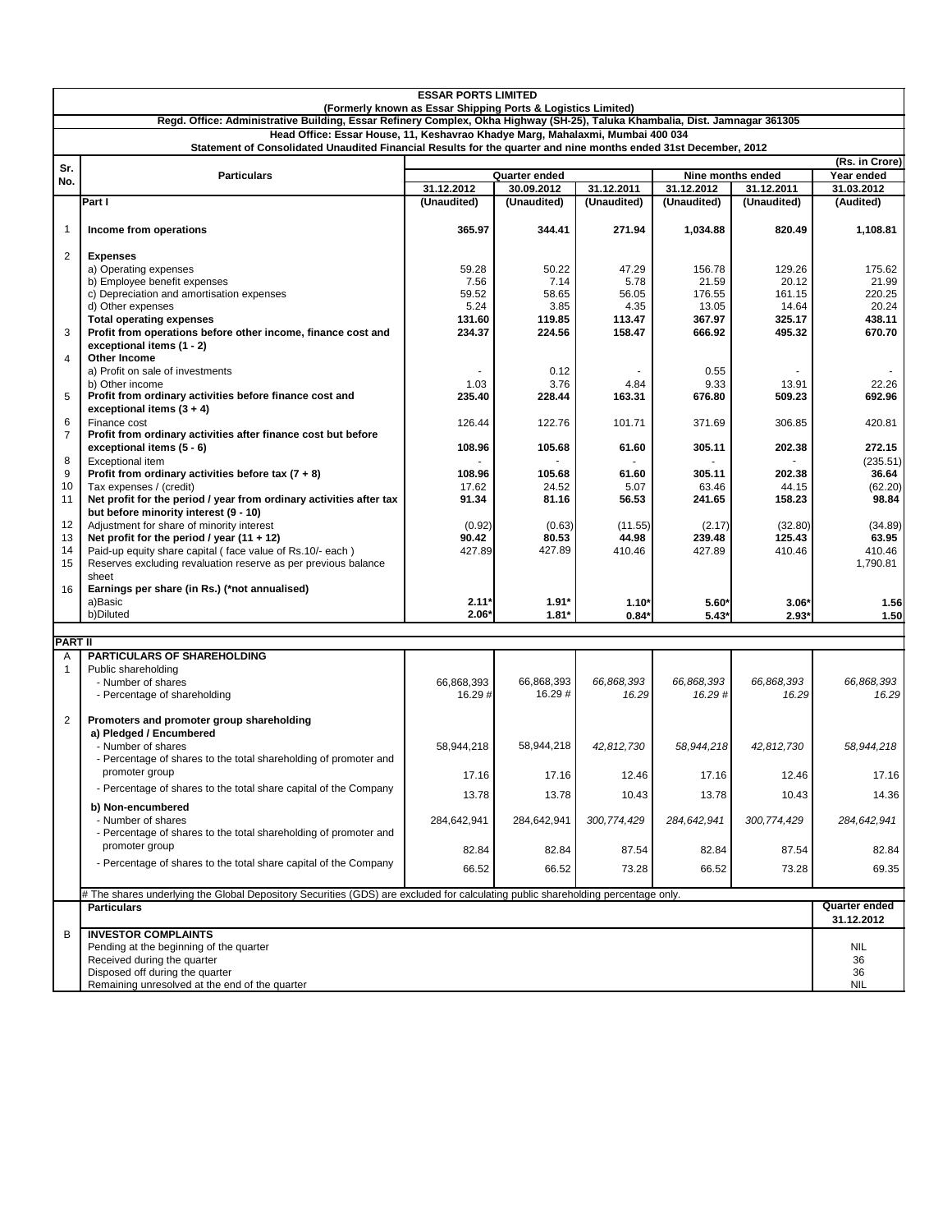| <b>ESSAR PORTS LIMITED</b><br>(Formerly known as Essar Shipping Ports & Logistics Limited)                                        |                                                                                    |                      |                      |                     |                      |                     |                                    |  |  |  |  |
|-----------------------------------------------------------------------------------------------------------------------------------|------------------------------------------------------------------------------------|----------------------|----------------------|---------------------|----------------------|---------------------|------------------------------------|--|--|--|--|
| Regd. Office: Administrative Building, Essar Refinery Complex, Okha Highway (SH-25), Taluka Khambalia, Dist. Jamnagar 361305      |                                                                                    |                      |                      |                     |                      |                     |                                    |  |  |  |  |
| Head Office: Essar House, 11, Keshavrao Khadye Marg, Mahalaxmi, Mumbai 400 034                                                    |                                                                                    |                      |                      |                     |                      |                     |                                    |  |  |  |  |
| Statement of Consolidated Unaudited Financial Results for the quarter and nine months ended 31st December, 2012<br>(Rs. in Crore) |                                                                                    |                      |                      |                     |                      |                     |                                    |  |  |  |  |
| Sr.                                                                                                                               | <b>Particulars</b>                                                                 |                      | Quarter ended        |                     | Nine months ended    | Year ended          |                                    |  |  |  |  |
| No.                                                                                                                               |                                                                                    | 31.12.2012           | 30.09.2012           | 31.12.2011          | 31.12.2012           | 31.12.2011          | 31.03.2012                         |  |  |  |  |
|                                                                                                                                   | Part I                                                                             | (Unaudited)          | (Unaudited)          | (Unaudited)         | (Unaudited)          | (Unaudited)         | (Audited)                          |  |  |  |  |
| $\mathbf{1}$                                                                                                                      | Income from operations                                                             | 365.97               | 344.41               | 271.94              | 1,034.88             | 820.49              | 1,108.81                           |  |  |  |  |
| $\overline{2}$                                                                                                                    | <b>Expenses</b>                                                                    |                      |                      |                     |                      |                     |                                    |  |  |  |  |
|                                                                                                                                   | a) Operating expenses                                                              | 59.28                | 50.22                | 47.29               | 156.78               | 129.26              | 175.62                             |  |  |  |  |
|                                                                                                                                   | b) Employee benefit expenses                                                       | 7.56                 | 7.14                 | 5.78                | 21.59                | 20.12               | 21.99                              |  |  |  |  |
|                                                                                                                                   | c) Depreciation and amortisation expenses                                          | 59.52                | 58.65                | 56.05               | 176.55               | 161.15              | 220.25                             |  |  |  |  |
|                                                                                                                                   | d) Other expenses<br><b>Total operating expenses</b>                               | 5.24<br>131.60       | 3.85<br>119.85       | 4.35<br>113.47      | 13.05<br>367.97      | 14.64<br>325.17     | 20.24<br>438.11                    |  |  |  |  |
| 3                                                                                                                                 | Profit from operations before other income, finance cost and                       | 234.37               | 224.56               | 158.47              | 666.92               | 495.32              | 670.70                             |  |  |  |  |
|                                                                                                                                   | exceptional items (1 - 2)                                                          |                      |                      |                     |                      |                     |                                    |  |  |  |  |
| $\overline{4}$                                                                                                                    | <b>Other Income</b>                                                                |                      |                      |                     |                      |                     |                                    |  |  |  |  |
|                                                                                                                                   | a) Profit on sale of investments                                                   |                      | 0.12                 |                     | 0.55                 |                     |                                    |  |  |  |  |
|                                                                                                                                   | b) Other income                                                                    | 1.03                 | 3.76                 | 4.84                | 9.33                 | 13.91               | 22.26                              |  |  |  |  |
| 5                                                                                                                                 | Profit from ordinary activities before finance cost and                            | 235.40               | 228.44               | 163.31              | 676.80               | 509.23              | 692.96                             |  |  |  |  |
| 6                                                                                                                                 | exceptional items $(3 + 4)$<br>Finance cost                                        | 126.44               | 122.76               | 101.71              | 371.69               | 306.85              | 420.81                             |  |  |  |  |
| $\overline{7}$                                                                                                                    | Profit from ordinary activities after finance cost but before                      |                      |                      |                     |                      |                     |                                    |  |  |  |  |
|                                                                                                                                   | exceptional items (5 - 6)                                                          | 108.96               | 105.68               | 61.60               | 305.11               | 202.38              | 272.15                             |  |  |  |  |
| 8                                                                                                                                 | <b>Exceptional item</b>                                                            |                      |                      |                     |                      |                     | (235.51)                           |  |  |  |  |
| 9                                                                                                                                 | Profit from ordinary activities before tax $(7 + 8)$                               | 108.96               | 105.68               | 61.60               | 305.11               | 202.38              | 36.64                              |  |  |  |  |
| 10                                                                                                                                | Tax expenses / (credit)                                                            | 17.62                | 24.52                | 5.07                | 63.46                | 44.15               | (62.20)                            |  |  |  |  |
| 11                                                                                                                                | Net profit for the period / year from ordinary activities after tax                | 91.34                | 81.16                | 56.53               | 241.65               | 158.23              | 98.84                              |  |  |  |  |
| 12                                                                                                                                | but before minority interest (9 - 10)<br>Adjustment for share of minority interest | (0.92)               | (0.63)               | (11.55)             | (2.17)               | (32.80)             | (34.89)                            |  |  |  |  |
| 13                                                                                                                                | Net profit for the period / year $(11 + 12)$                                       | 90.42                | 80.53                | 44.98               | 239.48               | 125.43              | 63.95                              |  |  |  |  |
| 14                                                                                                                                | Paid-up equity share capital (face value of Rs.10/- each)                          | 427.89               | 427.89               | 410.46              | 427.89               | 410.46              | 410.46                             |  |  |  |  |
| 15                                                                                                                                | Reserves excluding revaluation reserve as per previous balance                     |                      |                      |                     |                      |                     | 1,790.81                           |  |  |  |  |
|                                                                                                                                   | sheet                                                                              |                      |                      |                     |                      |                     |                                    |  |  |  |  |
| 16                                                                                                                                | Earnings per share (in Rs.) (*not annualised)                                      |                      |                      |                     |                      |                     |                                    |  |  |  |  |
|                                                                                                                                   | a)Basic<br>b)Diluted                                                               | $2.11*$<br>$2.06*$   | $1.91*$<br>$1.81*$   | $1.10*$<br>$0.84*$  | $5.60*$<br>$5.43*$   | $3.06*$<br>$2.93*$  | 1.56<br>1.50                       |  |  |  |  |
|                                                                                                                                   |                                                                                    |                      |                      |                     |                      |                     |                                    |  |  |  |  |
| PART II                                                                                                                           |                                                                                    |                      |                      |                     |                      |                     |                                    |  |  |  |  |
| Α                                                                                                                                 | <b>PARTICULARS OF SHAREHOLDING</b>                                                 |                      |                      |                     |                      |                     |                                    |  |  |  |  |
| 1                                                                                                                                 | Public shareholding                                                                |                      |                      |                     |                      |                     |                                    |  |  |  |  |
|                                                                                                                                   | - Number of shares                                                                 | 66,868,393<br>16.29# | 66,868,393<br>16.29# | 66,868,393<br>16.29 | 66,868,393<br>16.29# | 66,868,393<br>16.29 | 66,868,393<br>16.29                |  |  |  |  |
|                                                                                                                                   | - Percentage of shareholding                                                       |                      |                      |                     |                      |                     |                                    |  |  |  |  |
| $\overline{2}$                                                                                                                    | Promoters and promoter group shareholding                                          |                      |                      |                     |                      |                     |                                    |  |  |  |  |
|                                                                                                                                   | a) Pledged / Encumbered                                                            |                      |                      |                     |                      |                     |                                    |  |  |  |  |
|                                                                                                                                   | - Number of shares                                                                 | 58,944,218           | 58,944,218           | 42,812,730          | 58,944,218           | 42,812,730          | 58,944,218                         |  |  |  |  |
|                                                                                                                                   | - Percentage of shares to the total shareholding of promoter and                   |                      |                      |                     |                      |                     |                                    |  |  |  |  |
|                                                                                                                                   | promoter group                                                                     | 17.16                | 17.16                | 12.46               | 17.16                | 12.46               | 17.16                              |  |  |  |  |
|                                                                                                                                   | - Percentage of shares to the total share capital of the Company                   | 13.78                | 13.78                | 10.43               | 13.78                | 10.43               | 14.36                              |  |  |  |  |
|                                                                                                                                   | b) Non-encumbered                                                                  |                      |                      |                     |                      |                     |                                    |  |  |  |  |
|                                                                                                                                   | - Number of shares                                                                 | 284,642,941          | 284,642,941          | 300,774,429         | 284,642,941          | 300.774.429         | 284,642,941                        |  |  |  |  |
|                                                                                                                                   | - Percentage of shares to the total shareholding of promoter and                   |                      |                      |                     |                      |                     |                                    |  |  |  |  |
|                                                                                                                                   | promoter group                                                                     | 82.84                | 82.84                | 87.54               | 82.84                | 87.54               | 82.84                              |  |  |  |  |
|                                                                                                                                   | - Percentage of shares to the total share capital of the Company                   | 66.52                | 66.52                | 73.28               | 66.52                | 73.28               | 69.35                              |  |  |  |  |
|                                                                                                                                   |                                                                                    |                      |                      |                     |                      |                     |                                    |  |  |  |  |
| # The shares underlying the Global Depository Securities (GDS) are excluded for calculating public shareholding percentage only.  |                                                                                    |                      |                      |                     |                      |                     |                                    |  |  |  |  |
|                                                                                                                                   | <b>Particulars</b>                                                                 |                      |                      |                     |                      |                     | <b>Quarter ended</b><br>31.12.2012 |  |  |  |  |
| B                                                                                                                                 | <b>INVESTOR COMPLAINTS</b>                                                         |                      |                      |                     |                      |                     |                                    |  |  |  |  |
|                                                                                                                                   | Pending at the beginning of the quarter                                            |                      |                      |                     |                      |                     | <b>NIL</b>                         |  |  |  |  |
|                                                                                                                                   | Received during the quarter                                                        |                      |                      |                     |                      |                     | 36                                 |  |  |  |  |
|                                                                                                                                   | Disposed off during the quarter                                                    |                      |                      |                     |                      |                     | 36                                 |  |  |  |  |
|                                                                                                                                   | Remaining unresolved at the end of the quarter                                     |                      |                      |                     |                      |                     | <b>NIL</b>                         |  |  |  |  |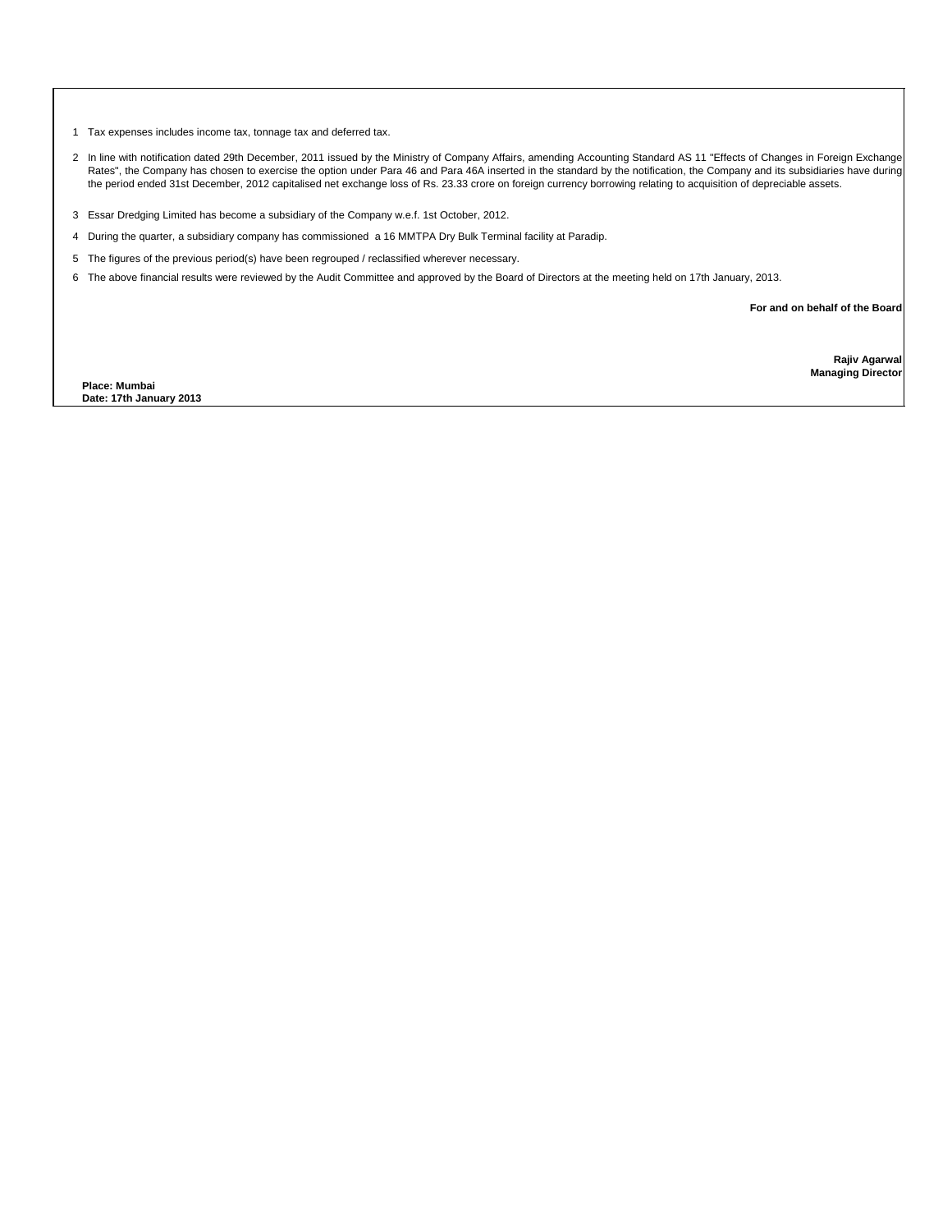1 Tax expenses includes income tax, tonnage tax and deferred tax.

- 2 In line with notification dated 29th December, 2011 issued by the Ministry of Company Affairs, amending Accounting Standard AS 11 "Effects of Changes in Foreign Exchange Rates", the Company has chosen to exercise the option under Para 46 and Para 46A inserted in the standard by the notification, the Company and its subsidiaries have during the period ended 31st December, 2012 capitalised net exchange loss of Rs. 23.33 crore on foreign currency borrowing relating to acquisition of depreciable assets.
- 3 Essar Dredging Limited has become a subsidiary of the Company w.e.f. 1st October, 2012.
- 4 During the quarter, a subsidiary company has commissioned a 16 MMTPA Dry Bulk Terminal facility at Paradip.
- 5 The figures of the previous period(s) have been regrouped / reclassified wherever necessary.
- 6 The above financial results were reviewed by the Audit Committee and approved by the Board of Directors at the meeting held on 17th January, 2013.

**For and on behalf of the Board**

**Place: Mumbai Date: 17th January 2013**

**Rajiv Agarwal Managing Director**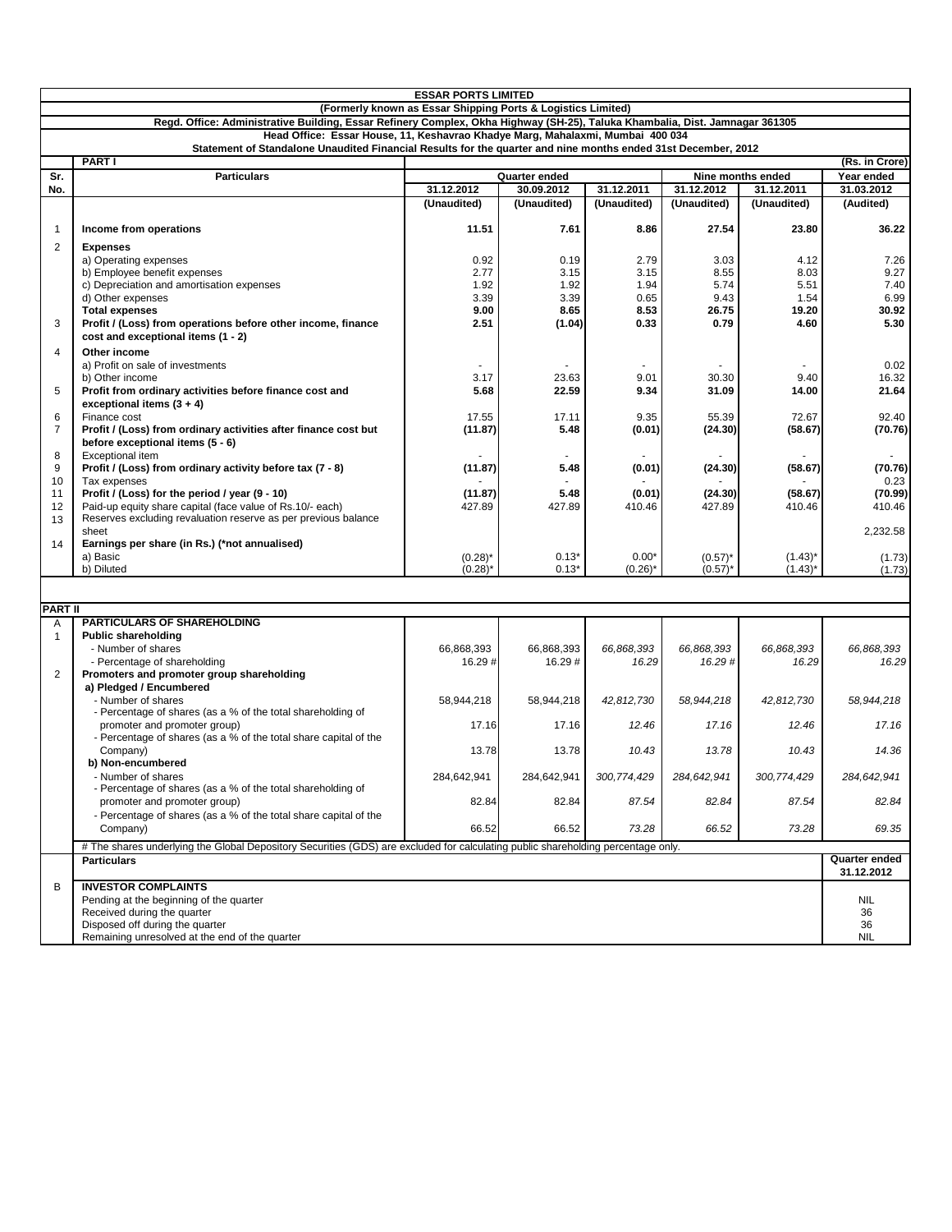| (Formerly known as Essar Shipping Ports & Logistics Limited)<br>Regd. Office: Administrative Building, Essar Refinery Complex, Okha Highway (SH-25), Taluka Khambalia, Dist. Jamnagar 361305<br>Head Office: Essar House, 11, Keshavrao Khadye Marg, Mahalaxmi, Mumbai 400 034<br>Statement of Standalone Unaudited Financial Results for the quarter and nine months ended 31st December, 2012<br><b>PART I</b><br>(Rs. in Crore)<br>Sr.<br><b>Particulars</b><br>Quarter ended<br>Year ended<br>Nine months ended<br>No.<br>31.12.2012<br>30.09.2012<br>31.12.2011<br>31.12.2012<br>31.12.2011<br>31.03.2012<br>(Unaudited)<br>(Unaudited)<br>(Unaudited)<br>(Unaudited)<br>(Unaudited)<br>(Audited)<br>$\mathbf{1}$<br>11.51<br>7.61<br>8.86<br>27.54<br>23.80<br>Income from operations<br>$\overline{2}$<br><b>Expenses</b><br>0.92<br>0.19<br>2.79<br>3.03<br>4.12<br>a) Operating expenses<br>b) Employee benefit expenses<br>2.77<br>3.15<br>3.15<br>8.55<br>8.03<br>c) Depreciation and amortisation expenses<br>1.92<br>1.92<br>1.94<br>5.74<br>5.51<br>d) Other expenses<br>3.39<br>3.39<br>0.65<br>9.43<br>1.54<br><b>Total expenses</b><br>9.00<br>8.65<br>8.53<br>26.75<br>19.20<br>3<br>Profit / (Loss) from operations before other income, finance<br>2.51<br>0.33<br>0.79<br>4.60<br>(1.04)<br>cost and exceptional items (1 - 2)<br>$\overline{4}$<br>Other income<br>a) Profit on sale of investments<br>3.17<br>23.63<br>9.01<br>30.30<br>9.40<br>b) Other income<br>5<br>Profit from ordinary activities before finance cost and<br>5.68<br>22.59<br>9.34<br>31.09<br>14.00<br>exceptional items $(3 + 4)$<br>6<br>9.35<br>55.39<br>72.67<br>Finance cost<br>17.55<br>17.11<br>$\overline{7}$<br>Profit / (Loss) from ordinary activities after finance cost but<br>(11.87)<br>5.48<br>(0.01)<br>(24.30)<br>(58.67)<br>(70.76)<br>before exceptional items (5 - 6)<br>8<br>Exceptional item<br>Profit / (Loss) from ordinary activity before tax (7 - 8)<br>9<br>(11.87)<br>5.48<br>(0.01)<br>(24.30)<br>(58.67)<br>10<br>Tax expenses<br>Profit / (Loss) for the period / year (9 - 10)<br>11<br>5.48<br>(24.30)<br>(11.87)<br>(0.01)<br>(58.67)<br>12<br>Paid-up equity share capital (face value of Rs.10/- each)<br>427.89<br>427.89<br>410.46<br>427.89<br>410.46<br>Reserves excluding revaluation reserve as per previous balance<br>13<br>2,232.58<br>sheet<br>14<br>Earnings per share (in Rs.) (*not annualised)<br>a) Basic<br>$(0.28)^*$<br>$0.13*$<br>$0.00*$<br>$(0.57)^*$<br>$(1.43)^*$<br>b) Diluted<br>$(0.28)^*$<br>$0.13*$<br>$(0.26)^*$<br>$(0.57)^*$<br>$(1.43)^*$<br><b>PART II</b><br><b>PARTICULARS OF SHAREHOLDING</b><br>Α<br><b>Public shareholding</b><br>1<br>- Number of shares<br>66,868,393<br>66,868,393<br>66,868,393<br>66,868,393<br>66,868,393<br>16.29#<br>- Percentage of shareholding<br>16.29#<br>16.29#<br>16.29<br>16.29<br>$\overline{2}$<br>Promoters and promoter group shareholding<br>a) Pledged / Encumbered<br>- Number of shares<br>58,944,218<br>58,944,218<br>42,812,730<br>58,944,218<br>42.812.730<br>- Percentage of shares (as a % of the total shareholding of<br>promoter and promoter group)<br>17.16<br>12.46<br>17.16<br>12.46<br>17.16<br>- Percentage of shares (as a % of the total share capital of the<br>14.36<br>Company)<br>13.78<br>13.78<br>10.43<br>13.78<br>10.43<br>b) Non-encumbered<br>284.642.941<br>284,642,941<br>300,774,429<br>284,642,941<br>300,774,429<br>284,642,941<br>- Number of shares<br>- Percentage of shares (as a % of the total shareholding of<br>87.54<br>82.84<br>87.54<br>82.84<br>82.84<br>82.84<br>promoter and promoter group)<br>- Percentage of shares (as a % of the total share capital of the<br>Company)<br>66.52<br>66.52<br>73.28<br>66.52<br>73.28<br>69.35<br># The shares underlying the Global Depository Securities (GDS) are excluded for calculating public shareholding percentage only.<br>Quarter ended<br><b>Particulars</b><br>31.12.2012<br>B<br><b>INVESTOR COMPLAINTS</b><br><b>NIL</b><br>Pending at the beginning of the quarter<br>Received during the quarter<br>36<br>Disposed off during the quarter<br>36 | <b>ESSAR PORTS LIMITED</b> |                                                |  |  |  |  |  |                      |  |  |  |  |
|----------------------------------------------------------------------------------------------------------------------------------------------------------------------------------------------------------------------------------------------------------------------------------------------------------------------------------------------------------------------------------------------------------------------------------------------------------------------------------------------------------------------------------------------------------------------------------------------------------------------------------------------------------------------------------------------------------------------------------------------------------------------------------------------------------------------------------------------------------------------------------------------------------------------------------------------------------------------------------------------------------------------------------------------------------------------------------------------------------------------------------------------------------------------------------------------------------------------------------------------------------------------------------------------------------------------------------------------------------------------------------------------------------------------------------------------------------------------------------------------------------------------------------------------------------------------------------------------------------------------------------------------------------------------------------------------------------------------------------------------------------------------------------------------------------------------------------------------------------------------------------------------------------------------------------------------------------------------------------------------------------------------------------------------------------------------------------------------------------------------------------------------------------------------------------------------------------------------------------------------------------------------------------------------------------------------------------------------------------------------------------------------------------------------------------------------------------------------------------------------------------------------------------------------------------------------------------------------------------------------------------------------------------------------------------------------------------------------------------------------------------------------------------------------------------------------------------------------------------------------------------------------------------------------------------------------------------------------------------------------------------------------------------------------------------------------------------------------------------------------------------------------------------------------------------------------------------------------------------------------------------------------------------------------------------------------------------------------------------------------------------------------------------------------------------------------------------------------------------------------------------------------------------------------------------------------------------------------------------------------------------------------------------------------------------------------------------------------------------------------------------------------------------------------------------------------------------------------------------------------------------------------------------------------------------------------------------------------------------------------------------------------------------------------------------------------------------------------------------------------------------------------------------------------|----------------------------|------------------------------------------------|--|--|--|--|--|----------------------|--|--|--|--|
|                                                                                                                                                                                                                                                                                                                                                                                                                                                                                                                                                                                                                                                                                                                                                                                                                                                                                                                                                                                                                                                                                                                                                                                                                                                                                                                                                                                                                                                                                                                                                                                                                                                                                                                                                                                                                                                                                                                                                                                                                                                                                                                                                                                                                                                                                                                                                                                                                                                                                                                                                                                                                                                                                                                                                                                                                                                                                                                                                                                                                                                                                                                                                                                                                                                                                                                                                                                                                                                                                                                                                                                                                                                                                                                                                                                                                                                                                                                                                                                                                                                                                                                                                                      |                            |                                                |  |  |  |  |  |                      |  |  |  |  |
|                                                                                                                                                                                                                                                                                                                                                                                                                                                                                                                                                                                                                                                                                                                                                                                                                                                                                                                                                                                                                                                                                                                                                                                                                                                                                                                                                                                                                                                                                                                                                                                                                                                                                                                                                                                                                                                                                                                                                                                                                                                                                                                                                                                                                                                                                                                                                                                                                                                                                                                                                                                                                                                                                                                                                                                                                                                                                                                                                                                                                                                                                                                                                                                                                                                                                                                                                                                                                                                                                                                                                                                                                                                                                                                                                                                                                                                                                                                                                                                                                                                                                                                                                                      |                            |                                                |  |  |  |  |  |                      |  |  |  |  |
|                                                                                                                                                                                                                                                                                                                                                                                                                                                                                                                                                                                                                                                                                                                                                                                                                                                                                                                                                                                                                                                                                                                                                                                                                                                                                                                                                                                                                                                                                                                                                                                                                                                                                                                                                                                                                                                                                                                                                                                                                                                                                                                                                                                                                                                                                                                                                                                                                                                                                                                                                                                                                                                                                                                                                                                                                                                                                                                                                                                                                                                                                                                                                                                                                                                                                                                                                                                                                                                                                                                                                                                                                                                                                                                                                                                                                                                                                                                                                                                                                                                                                                                                                                      |                            |                                                |  |  |  |  |  |                      |  |  |  |  |
|                                                                                                                                                                                                                                                                                                                                                                                                                                                                                                                                                                                                                                                                                                                                                                                                                                                                                                                                                                                                                                                                                                                                                                                                                                                                                                                                                                                                                                                                                                                                                                                                                                                                                                                                                                                                                                                                                                                                                                                                                                                                                                                                                                                                                                                                                                                                                                                                                                                                                                                                                                                                                                                                                                                                                                                                                                                                                                                                                                                                                                                                                                                                                                                                                                                                                                                                                                                                                                                                                                                                                                                                                                                                                                                                                                                                                                                                                                                                                                                                                                                                                                                                                                      |                            |                                                |  |  |  |  |  |                      |  |  |  |  |
|                                                                                                                                                                                                                                                                                                                                                                                                                                                                                                                                                                                                                                                                                                                                                                                                                                                                                                                                                                                                                                                                                                                                                                                                                                                                                                                                                                                                                                                                                                                                                                                                                                                                                                                                                                                                                                                                                                                                                                                                                                                                                                                                                                                                                                                                                                                                                                                                                                                                                                                                                                                                                                                                                                                                                                                                                                                                                                                                                                                                                                                                                                                                                                                                                                                                                                                                                                                                                                                                                                                                                                                                                                                                                                                                                                                                                                                                                                                                                                                                                                                                                                                                                                      |                            |                                                |  |  |  |  |  |                      |  |  |  |  |
|                                                                                                                                                                                                                                                                                                                                                                                                                                                                                                                                                                                                                                                                                                                                                                                                                                                                                                                                                                                                                                                                                                                                                                                                                                                                                                                                                                                                                                                                                                                                                                                                                                                                                                                                                                                                                                                                                                                                                                                                                                                                                                                                                                                                                                                                                                                                                                                                                                                                                                                                                                                                                                                                                                                                                                                                                                                                                                                                                                                                                                                                                                                                                                                                                                                                                                                                                                                                                                                                                                                                                                                                                                                                                                                                                                                                                                                                                                                                                                                                                                                                                                                                                                      |                            |                                                |  |  |  |  |  |                      |  |  |  |  |
|                                                                                                                                                                                                                                                                                                                                                                                                                                                                                                                                                                                                                                                                                                                                                                                                                                                                                                                                                                                                                                                                                                                                                                                                                                                                                                                                                                                                                                                                                                                                                                                                                                                                                                                                                                                                                                                                                                                                                                                                                                                                                                                                                                                                                                                                                                                                                                                                                                                                                                                                                                                                                                                                                                                                                                                                                                                                                                                                                                                                                                                                                                                                                                                                                                                                                                                                                                                                                                                                                                                                                                                                                                                                                                                                                                                                                                                                                                                                                                                                                                                                                                                                                                      |                            |                                                |  |  |  |  |  |                      |  |  |  |  |
|                                                                                                                                                                                                                                                                                                                                                                                                                                                                                                                                                                                                                                                                                                                                                                                                                                                                                                                                                                                                                                                                                                                                                                                                                                                                                                                                                                                                                                                                                                                                                                                                                                                                                                                                                                                                                                                                                                                                                                                                                                                                                                                                                                                                                                                                                                                                                                                                                                                                                                                                                                                                                                                                                                                                                                                                                                                                                                                                                                                                                                                                                                                                                                                                                                                                                                                                                                                                                                                                                                                                                                                                                                                                                                                                                                                                                                                                                                                                                                                                                                                                                                                                                                      |                            |                                                |  |  |  |  |  | 36.22                |  |  |  |  |
|                                                                                                                                                                                                                                                                                                                                                                                                                                                                                                                                                                                                                                                                                                                                                                                                                                                                                                                                                                                                                                                                                                                                                                                                                                                                                                                                                                                                                                                                                                                                                                                                                                                                                                                                                                                                                                                                                                                                                                                                                                                                                                                                                                                                                                                                                                                                                                                                                                                                                                                                                                                                                                                                                                                                                                                                                                                                                                                                                                                                                                                                                                                                                                                                                                                                                                                                                                                                                                                                                                                                                                                                                                                                                                                                                                                                                                                                                                                                                                                                                                                                                                                                                                      |                            |                                                |  |  |  |  |  | 7.26<br>9.27<br>7.40 |  |  |  |  |
|                                                                                                                                                                                                                                                                                                                                                                                                                                                                                                                                                                                                                                                                                                                                                                                                                                                                                                                                                                                                                                                                                                                                                                                                                                                                                                                                                                                                                                                                                                                                                                                                                                                                                                                                                                                                                                                                                                                                                                                                                                                                                                                                                                                                                                                                                                                                                                                                                                                                                                                                                                                                                                                                                                                                                                                                                                                                                                                                                                                                                                                                                                                                                                                                                                                                                                                                                                                                                                                                                                                                                                                                                                                                                                                                                                                                                                                                                                                                                                                                                                                                                                                                                                      |                            |                                                |  |  |  |  |  | 6.99                 |  |  |  |  |
|                                                                                                                                                                                                                                                                                                                                                                                                                                                                                                                                                                                                                                                                                                                                                                                                                                                                                                                                                                                                                                                                                                                                                                                                                                                                                                                                                                                                                                                                                                                                                                                                                                                                                                                                                                                                                                                                                                                                                                                                                                                                                                                                                                                                                                                                                                                                                                                                                                                                                                                                                                                                                                                                                                                                                                                                                                                                                                                                                                                                                                                                                                                                                                                                                                                                                                                                                                                                                                                                                                                                                                                                                                                                                                                                                                                                                                                                                                                                                                                                                                                                                                                                                                      |                            |                                                |  |  |  |  |  | 30.92<br>5.30        |  |  |  |  |
|                                                                                                                                                                                                                                                                                                                                                                                                                                                                                                                                                                                                                                                                                                                                                                                                                                                                                                                                                                                                                                                                                                                                                                                                                                                                                                                                                                                                                                                                                                                                                                                                                                                                                                                                                                                                                                                                                                                                                                                                                                                                                                                                                                                                                                                                                                                                                                                                                                                                                                                                                                                                                                                                                                                                                                                                                                                                                                                                                                                                                                                                                                                                                                                                                                                                                                                                                                                                                                                                                                                                                                                                                                                                                                                                                                                                                                                                                                                                                                                                                                                                                                                                                                      |                            |                                                |  |  |  |  |  | 0.02                 |  |  |  |  |
|                                                                                                                                                                                                                                                                                                                                                                                                                                                                                                                                                                                                                                                                                                                                                                                                                                                                                                                                                                                                                                                                                                                                                                                                                                                                                                                                                                                                                                                                                                                                                                                                                                                                                                                                                                                                                                                                                                                                                                                                                                                                                                                                                                                                                                                                                                                                                                                                                                                                                                                                                                                                                                                                                                                                                                                                                                                                                                                                                                                                                                                                                                                                                                                                                                                                                                                                                                                                                                                                                                                                                                                                                                                                                                                                                                                                                                                                                                                                                                                                                                                                                                                                                                      |                            |                                                |  |  |  |  |  | 16.32                |  |  |  |  |
|                                                                                                                                                                                                                                                                                                                                                                                                                                                                                                                                                                                                                                                                                                                                                                                                                                                                                                                                                                                                                                                                                                                                                                                                                                                                                                                                                                                                                                                                                                                                                                                                                                                                                                                                                                                                                                                                                                                                                                                                                                                                                                                                                                                                                                                                                                                                                                                                                                                                                                                                                                                                                                                                                                                                                                                                                                                                                                                                                                                                                                                                                                                                                                                                                                                                                                                                                                                                                                                                                                                                                                                                                                                                                                                                                                                                                                                                                                                                                                                                                                                                                                                                                                      |                            |                                                |  |  |  |  |  | 21.64                |  |  |  |  |
|                                                                                                                                                                                                                                                                                                                                                                                                                                                                                                                                                                                                                                                                                                                                                                                                                                                                                                                                                                                                                                                                                                                                                                                                                                                                                                                                                                                                                                                                                                                                                                                                                                                                                                                                                                                                                                                                                                                                                                                                                                                                                                                                                                                                                                                                                                                                                                                                                                                                                                                                                                                                                                                                                                                                                                                                                                                                                                                                                                                                                                                                                                                                                                                                                                                                                                                                                                                                                                                                                                                                                                                                                                                                                                                                                                                                                                                                                                                                                                                                                                                                                                                                                                      |                            |                                                |  |  |  |  |  | 92.40                |  |  |  |  |
|                                                                                                                                                                                                                                                                                                                                                                                                                                                                                                                                                                                                                                                                                                                                                                                                                                                                                                                                                                                                                                                                                                                                                                                                                                                                                                                                                                                                                                                                                                                                                                                                                                                                                                                                                                                                                                                                                                                                                                                                                                                                                                                                                                                                                                                                                                                                                                                                                                                                                                                                                                                                                                                                                                                                                                                                                                                                                                                                                                                                                                                                                                                                                                                                                                                                                                                                                                                                                                                                                                                                                                                                                                                                                                                                                                                                                                                                                                                                                                                                                                                                                                                                                                      |                            |                                                |  |  |  |  |  |                      |  |  |  |  |
|                                                                                                                                                                                                                                                                                                                                                                                                                                                                                                                                                                                                                                                                                                                                                                                                                                                                                                                                                                                                                                                                                                                                                                                                                                                                                                                                                                                                                                                                                                                                                                                                                                                                                                                                                                                                                                                                                                                                                                                                                                                                                                                                                                                                                                                                                                                                                                                                                                                                                                                                                                                                                                                                                                                                                                                                                                                                                                                                                                                                                                                                                                                                                                                                                                                                                                                                                                                                                                                                                                                                                                                                                                                                                                                                                                                                                                                                                                                                                                                                                                                                                                                                                                      |                            |                                                |  |  |  |  |  | (70.76)<br>0.23      |  |  |  |  |
|                                                                                                                                                                                                                                                                                                                                                                                                                                                                                                                                                                                                                                                                                                                                                                                                                                                                                                                                                                                                                                                                                                                                                                                                                                                                                                                                                                                                                                                                                                                                                                                                                                                                                                                                                                                                                                                                                                                                                                                                                                                                                                                                                                                                                                                                                                                                                                                                                                                                                                                                                                                                                                                                                                                                                                                                                                                                                                                                                                                                                                                                                                                                                                                                                                                                                                                                                                                                                                                                                                                                                                                                                                                                                                                                                                                                                                                                                                                                                                                                                                                                                                                                                                      |                            |                                                |  |  |  |  |  | (70.99)              |  |  |  |  |
|                                                                                                                                                                                                                                                                                                                                                                                                                                                                                                                                                                                                                                                                                                                                                                                                                                                                                                                                                                                                                                                                                                                                                                                                                                                                                                                                                                                                                                                                                                                                                                                                                                                                                                                                                                                                                                                                                                                                                                                                                                                                                                                                                                                                                                                                                                                                                                                                                                                                                                                                                                                                                                                                                                                                                                                                                                                                                                                                                                                                                                                                                                                                                                                                                                                                                                                                                                                                                                                                                                                                                                                                                                                                                                                                                                                                                                                                                                                                                                                                                                                                                                                                                                      |                            |                                                |  |  |  |  |  | 410.46               |  |  |  |  |
|                                                                                                                                                                                                                                                                                                                                                                                                                                                                                                                                                                                                                                                                                                                                                                                                                                                                                                                                                                                                                                                                                                                                                                                                                                                                                                                                                                                                                                                                                                                                                                                                                                                                                                                                                                                                                                                                                                                                                                                                                                                                                                                                                                                                                                                                                                                                                                                                                                                                                                                                                                                                                                                                                                                                                                                                                                                                                                                                                                                                                                                                                                                                                                                                                                                                                                                                                                                                                                                                                                                                                                                                                                                                                                                                                                                                                                                                                                                                                                                                                                                                                                                                                                      |                            |                                                |  |  |  |  |  |                      |  |  |  |  |
|                                                                                                                                                                                                                                                                                                                                                                                                                                                                                                                                                                                                                                                                                                                                                                                                                                                                                                                                                                                                                                                                                                                                                                                                                                                                                                                                                                                                                                                                                                                                                                                                                                                                                                                                                                                                                                                                                                                                                                                                                                                                                                                                                                                                                                                                                                                                                                                                                                                                                                                                                                                                                                                                                                                                                                                                                                                                                                                                                                                                                                                                                                                                                                                                                                                                                                                                                                                                                                                                                                                                                                                                                                                                                                                                                                                                                                                                                                                                                                                                                                                                                                                                                                      |                            |                                                |  |  |  |  |  |                      |  |  |  |  |
|                                                                                                                                                                                                                                                                                                                                                                                                                                                                                                                                                                                                                                                                                                                                                                                                                                                                                                                                                                                                                                                                                                                                                                                                                                                                                                                                                                                                                                                                                                                                                                                                                                                                                                                                                                                                                                                                                                                                                                                                                                                                                                                                                                                                                                                                                                                                                                                                                                                                                                                                                                                                                                                                                                                                                                                                                                                                                                                                                                                                                                                                                                                                                                                                                                                                                                                                                                                                                                                                                                                                                                                                                                                                                                                                                                                                                                                                                                                                                                                                                                                                                                                                                                      |                            |                                                |  |  |  |  |  | (1.73)<br>(1.73)     |  |  |  |  |
|                                                                                                                                                                                                                                                                                                                                                                                                                                                                                                                                                                                                                                                                                                                                                                                                                                                                                                                                                                                                                                                                                                                                                                                                                                                                                                                                                                                                                                                                                                                                                                                                                                                                                                                                                                                                                                                                                                                                                                                                                                                                                                                                                                                                                                                                                                                                                                                                                                                                                                                                                                                                                                                                                                                                                                                                                                                                                                                                                                                                                                                                                                                                                                                                                                                                                                                                                                                                                                                                                                                                                                                                                                                                                                                                                                                                                                                                                                                                                                                                                                                                                                                                                                      |                            |                                                |  |  |  |  |  |                      |  |  |  |  |
|                                                                                                                                                                                                                                                                                                                                                                                                                                                                                                                                                                                                                                                                                                                                                                                                                                                                                                                                                                                                                                                                                                                                                                                                                                                                                                                                                                                                                                                                                                                                                                                                                                                                                                                                                                                                                                                                                                                                                                                                                                                                                                                                                                                                                                                                                                                                                                                                                                                                                                                                                                                                                                                                                                                                                                                                                                                                                                                                                                                                                                                                                                                                                                                                                                                                                                                                                                                                                                                                                                                                                                                                                                                                                                                                                                                                                                                                                                                                                                                                                                                                                                                                                                      |                            |                                                |  |  |  |  |  |                      |  |  |  |  |
|                                                                                                                                                                                                                                                                                                                                                                                                                                                                                                                                                                                                                                                                                                                                                                                                                                                                                                                                                                                                                                                                                                                                                                                                                                                                                                                                                                                                                                                                                                                                                                                                                                                                                                                                                                                                                                                                                                                                                                                                                                                                                                                                                                                                                                                                                                                                                                                                                                                                                                                                                                                                                                                                                                                                                                                                                                                                                                                                                                                                                                                                                                                                                                                                                                                                                                                                                                                                                                                                                                                                                                                                                                                                                                                                                                                                                                                                                                                                                                                                                                                                                                                                                                      |                            |                                                |  |  |  |  |  |                      |  |  |  |  |
|                                                                                                                                                                                                                                                                                                                                                                                                                                                                                                                                                                                                                                                                                                                                                                                                                                                                                                                                                                                                                                                                                                                                                                                                                                                                                                                                                                                                                                                                                                                                                                                                                                                                                                                                                                                                                                                                                                                                                                                                                                                                                                                                                                                                                                                                                                                                                                                                                                                                                                                                                                                                                                                                                                                                                                                                                                                                                                                                                                                                                                                                                                                                                                                                                                                                                                                                                                                                                                                                                                                                                                                                                                                                                                                                                                                                                                                                                                                                                                                                                                                                                                                                                                      |                            |                                                |  |  |  |  |  |                      |  |  |  |  |
|                                                                                                                                                                                                                                                                                                                                                                                                                                                                                                                                                                                                                                                                                                                                                                                                                                                                                                                                                                                                                                                                                                                                                                                                                                                                                                                                                                                                                                                                                                                                                                                                                                                                                                                                                                                                                                                                                                                                                                                                                                                                                                                                                                                                                                                                                                                                                                                                                                                                                                                                                                                                                                                                                                                                                                                                                                                                                                                                                                                                                                                                                                                                                                                                                                                                                                                                                                                                                                                                                                                                                                                                                                                                                                                                                                                                                                                                                                                                                                                                                                                                                                                                                                      |                            |                                                |  |  |  |  |  | 66,868,393           |  |  |  |  |
|                                                                                                                                                                                                                                                                                                                                                                                                                                                                                                                                                                                                                                                                                                                                                                                                                                                                                                                                                                                                                                                                                                                                                                                                                                                                                                                                                                                                                                                                                                                                                                                                                                                                                                                                                                                                                                                                                                                                                                                                                                                                                                                                                                                                                                                                                                                                                                                                                                                                                                                                                                                                                                                                                                                                                                                                                                                                                                                                                                                                                                                                                                                                                                                                                                                                                                                                                                                                                                                                                                                                                                                                                                                                                                                                                                                                                                                                                                                                                                                                                                                                                                                                                                      |                            |                                                |  |  |  |  |  | 16.29                |  |  |  |  |
|                                                                                                                                                                                                                                                                                                                                                                                                                                                                                                                                                                                                                                                                                                                                                                                                                                                                                                                                                                                                                                                                                                                                                                                                                                                                                                                                                                                                                                                                                                                                                                                                                                                                                                                                                                                                                                                                                                                                                                                                                                                                                                                                                                                                                                                                                                                                                                                                                                                                                                                                                                                                                                                                                                                                                                                                                                                                                                                                                                                                                                                                                                                                                                                                                                                                                                                                                                                                                                                                                                                                                                                                                                                                                                                                                                                                                                                                                                                                                                                                                                                                                                                                                                      |                            |                                                |  |  |  |  |  |                      |  |  |  |  |
|                                                                                                                                                                                                                                                                                                                                                                                                                                                                                                                                                                                                                                                                                                                                                                                                                                                                                                                                                                                                                                                                                                                                                                                                                                                                                                                                                                                                                                                                                                                                                                                                                                                                                                                                                                                                                                                                                                                                                                                                                                                                                                                                                                                                                                                                                                                                                                                                                                                                                                                                                                                                                                                                                                                                                                                                                                                                                                                                                                                                                                                                                                                                                                                                                                                                                                                                                                                                                                                                                                                                                                                                                                                                                                                                                                                                                                                                                                                                                                                                                                                                                                                                                                      |                            |                                                |  |  |  |  |  | 58,944,218           |  |  |  |  |
|                                                                                                                                                                                                                                                                                                                                                                                                                                                                                                                                                                                                                                                                                                                                                                                                                                                                                                                                                                                                                                                                                                                                                                                                                                                                                                                                                                                                                                                                                                                                                                                                                                                                                                                                                                                                                                                                                                                                                                                                                                                                                                                                                                                                                                                                                                                                                                                                                                                                                                                                                                                                                                                                                                                                                                                                                                                                                                                                                                                                                                                                                                                                                                                                                                                                                                                                                                                                                                                                                                                                                                                                                                                                                                                                                                                                                                                                                                                                                                                                                                                                                                                                                                      |                            |                                                |  |  |  |  |  | 17.16                |  |  |  |  |
|                                                                                                                                                                                                                                                                                                                                                                                                                                                                                                                                                                                                                                                                                                                                                                                                                                                                                                                                                                                                                                                                                                                                                                                                                                                                                                                                                                                                                                                                                                                                                                                                                                                                                                                                                                                                                                                                                                                                                                                                                                                                                                                                                                                                                                                                                                                                                                                                                                                                                                                                                                                                                                                                                                                                                                                                                                                                                                                                                                                                                                                                                                                                                                                                                                                                                                                                                                                                                                                                                                                                                                                                                                                                                                                                                                                                                                                                                                                                                                                                                                                                                                                                                                      |                            |                                                |  |  |  |  |  |                      |  |  |  |  |
|                                                                                                                                                                                                                                                                                                                                                                                                                                                                                                                                                                                                                                                                                                                                                                                                                                                                                                                                                                                                                                                                                                                                                                                                                                                                                                                                                                                                                                                                                                                                                                                                                                                                                                                                                                                                                                                                                                                                                                                                                                                                                                                                                                                                                                                                                                                                                                                                                                                                                                                                                                                                                                                                                                                                                                                                                                                                                                                                                                                                                                                                                                                                                                                                                                                                                                                                                                                                                                                                                                                                                                                                                                                                                                                                                                                                                                                                                                                                                                                                                                                                                                                                                                      |                            |                                                |  |  |  |  |  |                      |  |  |  |  |
|                                                                                                                                                                                                                                                                                                                                                                                                                                                                                                                                                                                                                                                                                                                                                                                                                                                                                                                                                                                                                                                                                                                                                                                                                                                                                                                                                                                                                                                                                                                                                                                                                                                                                                                                                                                                                                                                                                                                                                                                                                                                                                                                                                                                                                                                                                                                                                                                                                                                                                                                                                                                                                                                                                                                                                                                                                                                                                                                                                                                                                                                                                                                                                                                                                                                                                                                                                                                                                                                                                                                                                                                                                                                                                                                                                                                                                                                                                                                                                                                                                                                                                                                                                      |                            |                                                |  |  |  |  |  |                      |  |  |  |  |
|                                                                                                                                                                                                                                                                                                                                                                                                                                                                                                                                                                                                                                                                                                                                                                                                                                                                                                                                                                                                                                                                                                                                                                                                                                                                                                                                                                                                                                                                                                                                                                                                                                                                                                                                                                                                                                                                                                                                                                                                                                                                                                                                                                                                                                                                                                                                                                                                                                                                                                                                                                                                                                                                                                                                                                                                                                                                                                                                                                                                                                                                                                                                                                                                                                                                                                                                                                                                                                                                                                                                                                                                                                                                                                                                                                                                                                                                                                                                                                                                                                                                                                                                                                      |                            |                                                |  |  |  |  |  |                      |  |  |  |  |
|                                                                                                                                                                                                                                                                                                                                                                                                                                                                                                                                                                                                                                                                                                                                                                                                                                                                                                                                                                                                                                                                                                                                                                                                                                                                                                                                                                                                                                                                                                                                                                                                                                                                                                                                                                                                                                                                                                                                                                                                                                                                                                                                                                                                                                                                                                                                                                                                                                                                                                                                                                                                                                                                                                                                                                                                                                                                                                                                                                                                                                                                                                                                                                                                                                                                                                                                                                                                                                                                                                                                                                                                                                                                                                                                                                                                                                                                                                                                                                                                                                                                                                                                                                      |                            |                                                |  |  |  |  |  |                      |  |  |  |  |
|                                                                                                                                                                                                                                                                                                                                                                                                                                                                                                                                                                                                                                                                                                                                                                                                                                                                                                                                                                                                                                                                                                                                                                                                                                                                                                                                                                                                                                                                                                                                                                                                                                                                                                                                                                                                                                                                                                                                                                                                                                                                                                                                                                                                                                                                                                                                                                                                                                                                                                                                                                                                                                                                                                                                                                                                                                                                                                                                                                                                                                                                                                                                                                                                                                                                                                                                                                                                                                                                                                                                                                                                                                                                                                                                                                                                                                                                                                                                                                                                                                                                                                                                                                      |                            |                                                |  |  |  |  |  |                      |  |  |  |  |
|                                                                                                                                                                                                                                                                                                                                                                                                                                                                                                                                                                                                                                                                                                                                                                                                                                                                                                                                                                                                                                                                                                                                                                                                                                                                                                                                                                                                                                                                                                                                                                                                                                                                                                                                                                                                                                                                                                                                                                                                                                                                                                                                                                                                                                                                                                                                                                                                                                                                                                                                                                                                                                                                                                                                                                                                                                                                                                                                                                                                                                                                                                                                                                                                                                                                                                                                                                                                                                                                                                                                                                                                                                                                                                                                                                                                                                                                                                                                                                                                                                                                                                                                                                      |                            |                                                |  |  |  |  |  |                      |  |  |  |  |
|                                                                                                                                                                                                                                                                                                                                                                                                                                                                                                                                                                                                                                                                                                                                                                                                                                                                                                                                                                                                                                                                                                                                                                                                                                                                                                                                                                                                                                                                                                                                                                                                                                                                                                                                                                                                                                                                                                                                                                                                                                                                                                                                                                                                                                                                                                                                                                                                                                                                                                                                                                                                                                                                                                                                                                                                                                                                                                                                                                                                                                                                                                                                                                                                                                                                                                                                                                                                                                                                                                                                                                                                                                                                                                                                                                                                                                                                                                                                                                                                                                                                                                                                                                      |                            |                                                |  |  |  |  |  |                      |  |  |  |  |
|                                                                                                                                                                                                                                                                                                                                                                                                                                                                                                                                                                                                                                                                                                                                                                                                                                                                                                                                                                                                                                                                                                                                                                                                                                                                                                                                                                                                                                                                                                                                                                                                                                                                                                                                                                                                                                                                                                                                                                                                                                                                                                                                                                                                                                                                                                                                                                                                                                                                                                                                                                                                                                                                                                                                                                                                                                                                                                                                                                                                                                                                                                                                                                                                                                                                                                                                                                                                                                                                                                                                                                                                                                                                                                                                                                                                                                                                                                                                                                                                                                                                                                                                                                      |                            |                                                |  |  |  |  |  |                      |  |  |  |  |
|                                                                                                                                                                                                                                                                                                                                                                                                                                                                                                                                                                                                                                                                                                                                                                                                                                                                                                                                                                                                                                                                                                                                                                                                                                                                                                                                                                                                                                                                                                                                                                                                                                                                                                                                                                                                                                                                                                                                                                                                                                                                                                                                                                                                                                                                                                                                                                                                                                                                                                                                                                                                                                                                                                                                                                                                                                                                                                                                                                                                                                                                                                                                                                                                                                                                                                                                                                                                                                                                                                                                                                                                                                                                                                                                                                                                                                                                                                                                                                                                                                                                                                                                                                      |                            | Remaining unresolved at the end of the quarter |  |  |  |  |  | <b>NIL</b>           |  |  |  |  |